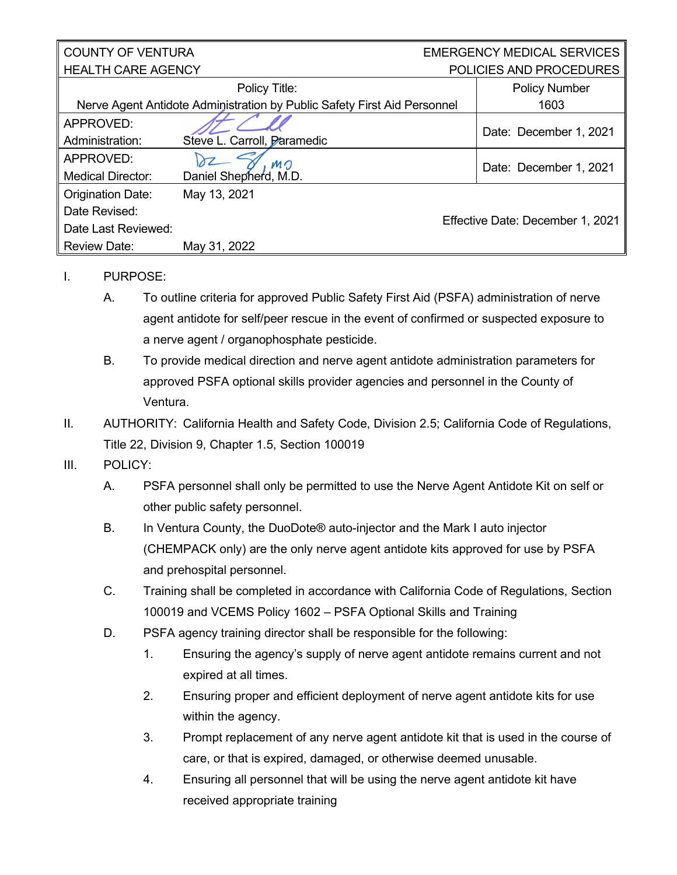## COUNTY OF VENTURA HEALTH CARE AGENCY EMERGENCY MEDICAL SERVICES POLICIES AND PROCEDURES Policy Title: Nerve Agent Antidote Administration by Public Safety First Aid Personnel Policy Number 1603 APPROVED: Date: December 1, 2021

| Administration:          | Steve L. Carroll, Paramedic    |                                  |
|--------------------------|--------------------------------|----------------------------------|
| APPROVED:                | Dz Mn<br>Daniel Shepherd, M.D. | Date: December 1, 2021           |
| <b>Medical Director:</b> |                                |                                  |
| Origination Date:        | May 13, 2021                   |                                  |
| Date Revised:            |                                |                                  |
| Date Last Reviewed:      |                                | Effective Date: December 1, 2021 |
| <b>Review Date:</b>      | May 31, 2022                   |                                  |

## I. PURPOSE:

- A. To outline criteria for approved Public Safety First Aid (PSFA) administration of nerve agent antidote for self/peer rescue in the event of confirmed or suspected exposure to a nerve agent / organophosphate pesticide.
- B. To provide medical direction and nerve agent antidote administration parameters for approved PSFA optional skills provider agencies and personnel in the County of Ventura.
- II. AUTHORITY: California Health and Safety Code, Division 2.5; California Code of Regulations, Title 22, Division 9, Chapter 1.5, Section 100019

## III. POLICY:

- A. PSFA personnel shall only be permitted to use the Nerve Agent Antidote Kit on self or other public safety personnel.
- B. In Ventura County, the DuoDote® auto-injector and the Mark I auto injector (CHEMPACK only) are the only nerve agent antidote kits approved for use by PSFA and prehospital personnel.
- C. Training shall be completed in accordance with California Code of Regulations, Section 100019 and VCEMS Policy 1602 – PSFA Optional Skills and Training
- D. PSFA agency training director shall be responsible for the following:
	- 1. Ensuring the agency's supply of nerve agent antidote remains current and not expired at all times.
	- 2. Ensuring proper and efficient deployment of nerve agent antidote kits for use within the agency.
	- 3. Prompt replacement of any nerve agent antidote kit that is used in the course of care, or that is expired, damaged, or otherwise deemed unusable.
	- 4. Ensuring all personnel that will be using the nerve agent antidote kit have received appropriate training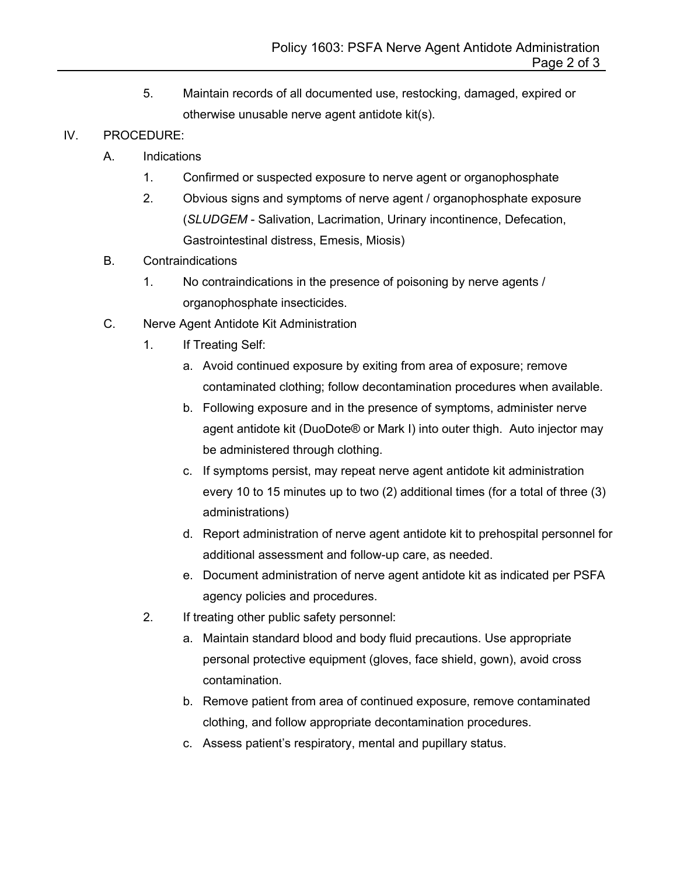5. Maintain records of all documented use, restocking, damaged, expired or otherwise unusable nerve agent antidote kit(s).

## IV. PROCEDURE:

- A. Indications
	- 1. Confirmed or suspected exposure to nerve agent or organophosphate
	- 2. Obvious signs and symptoms of nerve agent / organophosphate exposure (*SLUDGEM* - Salivation, Lacrimation, Urinary incontinence, Defecation, Gastrointestinal distress, Emesis, Miosis)
- B. Contraindications
	- 1. No contraindications in the presence of poisoning by nerve agents / organophosphate insecticides.
- C. Nerve Agent Antidote Kit Administration
	- 1. If Treating Self:
		- a. Avoid continued exposure by exiting from area of exposure; remove contaminated clothing; follow decontamination procedures when available.
		- b. Following exposure and in the presence of symptoms, administer nerve agent antidote kit (DuoDote® or Mark I) into outer thigh. Auto injector may be administered through clothing.
		- c. If symptoms persist, may repeat nerve agent antidote kit administration every 10 to 15 minutes up to two (2) additional times (for a total of three (3) administrations)
		- d. Report administration of nerve agent antidote kit to prehospital personnel for additional assessment and follow-up care, as needed.
		- e. Document administration of nerve agent antidote kit as indicated per PSFA agency policies and procedures.
	- 2. If treating other public safety personnel:
		- a. Maintain standard blood and body fluid precautions. Use appropriate personal protective equipment (gloves, face shield, gown), avoid cross contamination.
		- b. Remove patient from area of continued exposure, remove contaminated clothing, and follow appropriate decontamination procedures.
		- c. Assess patient's respiratory, mental and pupillary status.